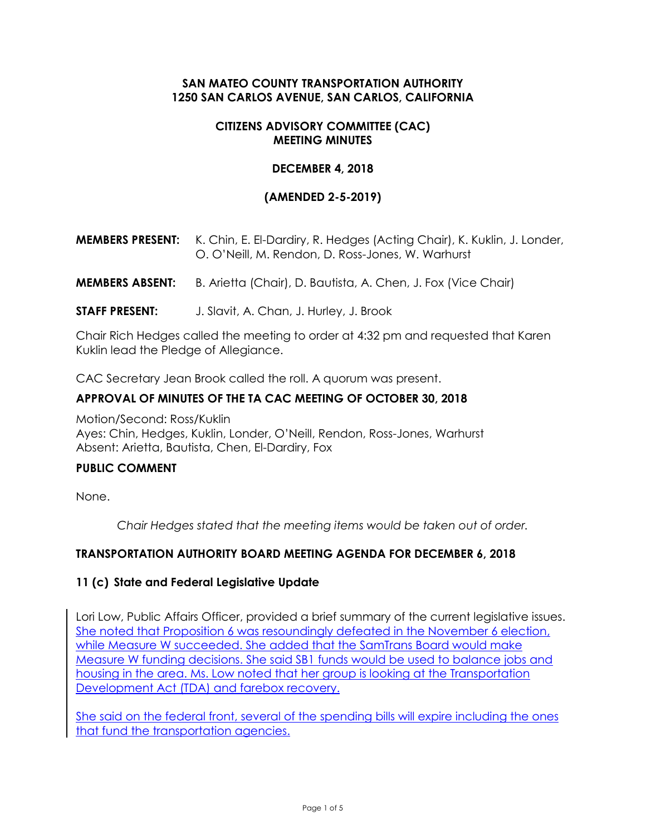# **SAN MATEO COUNTY TRANSPORTATION AUTHORITY 1250 SAN CARLOS AVENUE, SAN CARLOS, CALIFORNIA**

### **CITIZENS ADVISORY COMMITTEE (CAC) MEETING MINUTES**

### **DECEMBER 4, 2018**

## **(AMENDED 2-5-2019)**

- **MEMBERS PRESENT:** K. Chin, E. El-Dardiry, R. Hedges (Acting Chair), K. Kuklin, J. Londer, O. O'Neill, M. Rendon, D. Ross-Jones, W. Warhurst
- **MEMBERS ABSENT:** B. Arietta (Chair), D. Bautista, A. Chen, J. Fox (Vice Chair)
- **STAFF PRESENT:** J. Slavit, A. Chan, J. Hurley, J. Brook

Chair Rich Hedges called the meeting to order at 4:32 pm and requested that Karen Kuklin lead the Pledge of Allegiance.

CAC Secretary Jean Brook called the roll. A quorum was present.

#### **APPROVAL OF MINUTES OF THE TA CAC MEETING OF OCTOBER 30, 2018**

Motion/Second: Ross/Kuklin Ayes: Chin, Hedges, Kuklin, Londer, O'Neill, Rendon, Ross-Jones, Warhurst Absent: Arietta, Bautista, Chen, El-Dardiry, Fox

#### **PUBLIC COMMENT**

None.

*Chair Hedges stated that the meeting items would be taken out of order.*

### **TRANSPORTATION AUTHORITY BOARD MEETING AGENDA FOR DECEMBER 6, 2018**

#### **11 (c) State and Federal Legislative Update**

Lori Low, Public Affairs Officer, provided a brief summary of the current legislative issues. She noted that Proposition 6 was resoundingly defeated in the November 6 election, while Measure W succeeded. She added that the SamTrans Board would make Measure W funding decisions. She said SB1 funds would be used to balance jobs and housing in the area. Ms. Low noted that her group is looking at the Transportation Development Act (TDA) and farebox recovery.

She said on the federal front, several of the spending bills will expire including the ones that fund the transportation agencies.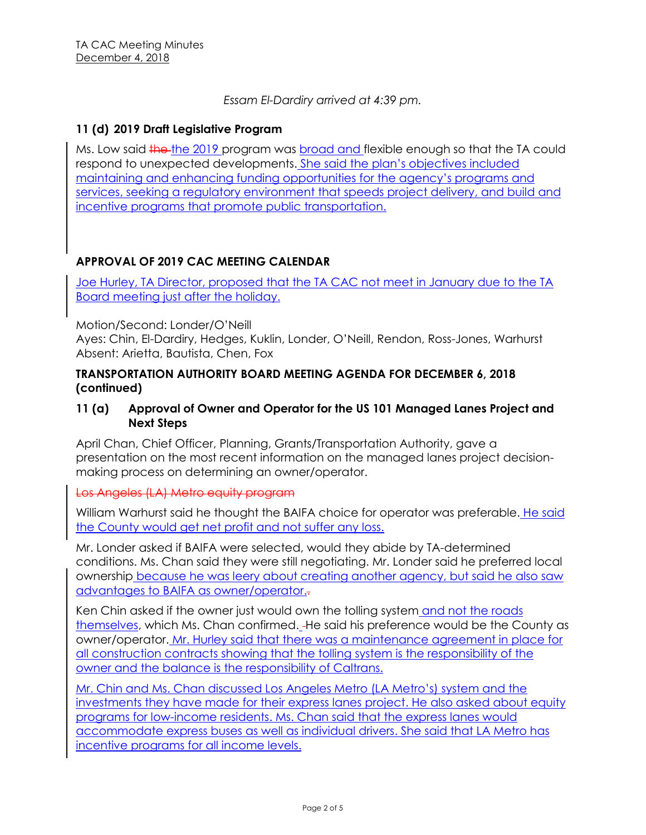*Essam El-Dardiry arrived at 4:39 pm.*

### **11 (d) 2019 Draft Legislative Program**

Ms. Low said the the 2019 program was broad and flexible enough so that the TA could respond to unexpected developments. She said the plan's objectives included maintaining and enhancing funding opportunities for the agency's programs and services, seeking a regulatory environment that speeds project delivery, and build and incentive programs that promote public transportation.

## **APPROVAL OF 2019 CAC MEETING CALENDAR**

Joe Hurley, TA Director, proposed that the TA CAC not meet in January due to the TA Board meeting just after the holiday.

Motion/Second: Londer/O'Neill

Ayes: Chin, El-Dardiry, Hedges, Kuklin, Londer, O'Neill, Rendon, Ross-Jones, Warhurst Absent: Arietta, Bautista, Chen, Fox

### **TRANSPORTATION AUTHORITY BOARD MEETING AGENDA FOR DECEMBER 6, 2018 (continued)**

# **11 (a) Approval of Owner and Operator for the US 101 Managed Lanes Project and Next Steps**

April Chan, Chief Officer, Planning, Grants/Transportation Authority, gave a presentation on the most recent information on the managed lanes project decisionmaking process on determining an owner/operator.

Los Angeles (LA) Metro equity program

William Warhurst said he thought the BAIFA choice for operator was preferable. He said the County would get net profit and not suffer any loss.

Mr. Londer asked if BAIFA were selected, would they abide by TA-determined conditions. Ms. Chan said they were still negotiating. Mr. Londer said he preferred local ownership because he was leery about creating another agency, but said he also saw advantages to BAIFA as owner/operator..

Ken Chin asked if the owner just would own the tolling system and not the roads themselves, which Ms. Chan confirmed. He said his preference would be the County as owner/operator. Mr. Hurley said that there was a maintenance agreement in place for all construction contracts showing that the tolling system is the responsibility of the owner and the balance is the responsibility of Caltrans.

Mr. Chin and Ms. Chan discussed Los Angeles Metro (LA Metro's) system and the investments they have made for their express lanes project. He also asked about equity programs for low-income residents. Ms. Chan said that the express lanes would accommodate express buses as well as individual drivers. She said that LA Metro has incentive programs for all income levels.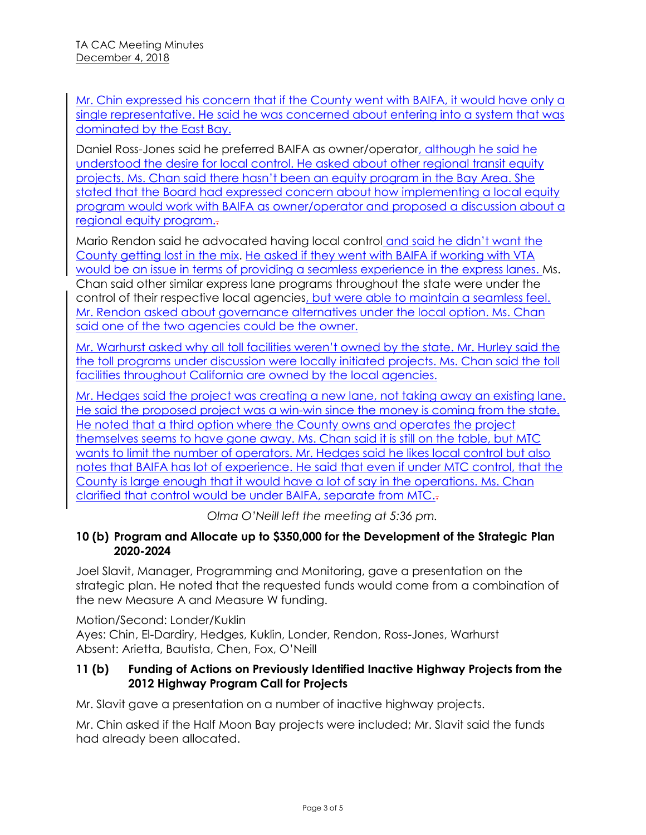Mr. Chin expressed his concern that if the County went with BAIFA, it would have only a single representative. He said he was concerned about entering into a system that was dominated by the East Bay.

Daniel Ross-Jones said he preferred BAIFA as owner/operator, although he said he understood the desire for local control. He asked about other regional transit equity projects. Ms. Chan said there hasn't been an equity program in the Bay Area. She stated that the Board had expressed concern about how implementing a local equity program would work with BAIFA as owner/operator and proposed a discussion about a regional equity program..

Mario Rendon said he advocated having local control and said he didn't want the County getting lost in the mix. He asked if they went with BAIFA if working with VTA would be an issue in terms of providing a seamless experience in the express lanes. Ms. Chan said other similar express lane programs throughout the state were under the control of their respective local agencies, but were able to maintain a seamless feel. Mr. Rendon asked about governance alternatives under the local option. Ms. Chan said one of the two agencies could be the owner.

Mr. Warhurst asked why all toll facilities weren't owned by the state. Mr. Hurley said the the toll programs under discussion were locally initiated projects. Ms. Chan said the toll facilities throughout California are owned by the local agencies.

Mr. Hedges said the project was creating a new lane, not taking away an existing lane. He said the proposed project was a win-win since the money is coming from the state. He noted that a third option where the County owns and operates the project themselves seems to have gone away. Ms. Chan said it is still on the table, but MTC wants to limit the number of operators. Mr. Hedges said he likes local control but also notes that BAIFA has lot of experience. He said that even if under MTC control, that the County is large enough that it would have a lot of say in the operations. Ms. Chan clarified that control would be under BAIFA, separate from MTC..

*Olma O'Neill left the meeting at 5:36 pm.*

# **10 (b) Program and Allocate up to \$350,000 for the Development of the Strategic Plan 2020-2024**

Joel Slavit, Manager, Programming and Monitoring, gave a presentation on the strategic plan. He noted that the requested funds would come from a combination of the new Measure A and Measure W funding.

Motion/Second: Londer/Kuklin Ayes: Chin, El-Dardiry, Hedges, Kuklin, Londer, Rendon, Ross-Jones, Warhurst Absent: Arietta, Bautista, Chen, Fox, O'Neill

# **11 (b) Funding of Actions on Previously Identified Inactive Highway Projects from the 2012 Highway Program Call for Projects**

Mr. Slavit gave a presentation on a number of inactive highway projects.

Mr. Chin asked if the Half Moon Bay projects were included; Mr. Slavit said the funds had already been allocated.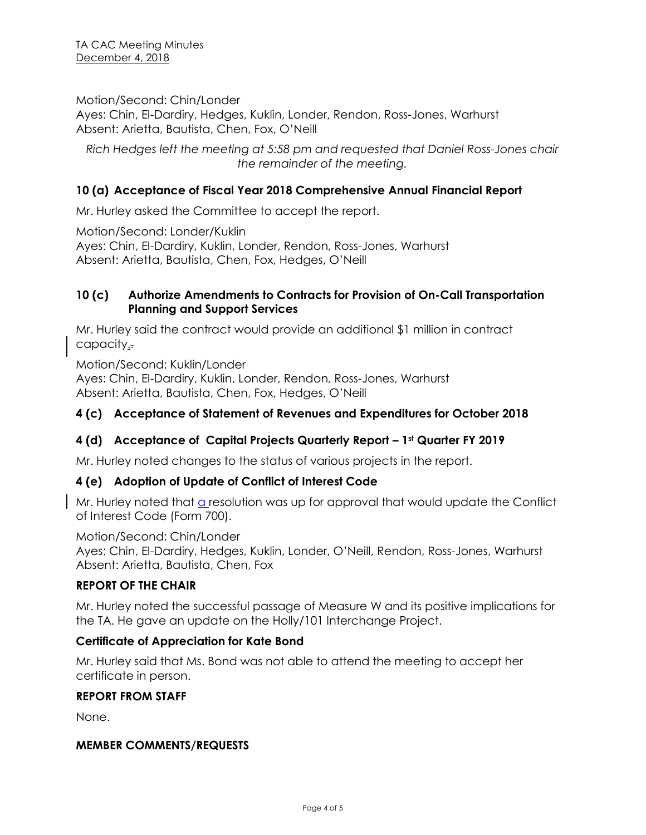Motion/Second: Chin/Londer

Ayes: Chin, El-Dardiry, Hedges, Kuklin, Londer, Rendon, Ross-Jones, Warhurst Absent: Arietta, Bautista, Chen, Fox, O'Neill

*Rich Hedges left the meeting at 5:58 pm and requested that Daniel Ross-Jones chair the remainder of the meeting.*

# **10 (a) Acceptance of Fiscal Year 2018 Comprehensive Annual Financial Report**

Mr. Hurley asked the Committee to accept the report.

Motion/Second: Londer/Kuklin Ayes: Chin, El-Dardiry, Kuklin, Londer, Rendon, Ross-Jones, Warhurst Absent: Arietta, Bautista, Chen, Fox, Hedges, O'Neill

### **10 (c) Authorize Amendments to Contracts for Provision of On-Call Transportation Planning and Support Services**

Mr. Hurley said the contract would provide an additional \$1 million in contract capacity.

Motion/Second: Kuklin/Londer Ayes: Chin, El-Dardiry, Kuklin, Londer, Rendon, Ross-Jones, Warhurst Absent: Arietta, Bautista, Chen, Fox, Hedges, O'Neill

# **4 (c) Acceptance of Statement of Revenues and Expenditures for October 2018**

# **4 (d) Acceptance of Capital Projects Quarterly Report – 1st Quarter FY 2019**

Mr. Hurley noted changes to the status of various projects in the report.

# **4 (e) Adoption of Update of Conflict of Interest Code**

Mr. Hurley noted that  $a$  resolution was up for approval that would update the Conflict of Interest Code (Form 700).

Motion/Second: Chin/Londer Ayes: Chin, El-Dardiry, Hedges, Kuklin, Londer, O'Neill, Rendon, Ross-Jones, Warhurst Absent: Arietta, Bautista, Chen, Fox

# **REPORT OF THE CHAIR**

Mr. Hurley noted the successful passage of Measure W and its positive implications for the TA. He gave an update on the Holly/101 Interchange Project.

### **Certificate of Appreciation for Kate Bond**

Mr. Hurley said that Ms. Bond was not able to attend the meeting to accept her certificate in person.

### **REPORT FROM STAFF**

None.

### **MEMBER COMMENTS/REQUESTS**